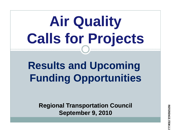# **Air Quality Calls for Projects**

## **Results and Upcoming F di O t iti Funding Oppor tunities**

**Re g p ional Trans portation Council September 9, 2010**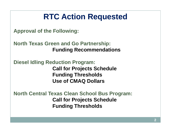### **RTC Action Requested**

**Approval of the Following:**

**North Texas Green and Go Partnership: Funding Recommendations**

**Diesel Idling Reduction Program: Call for Projects Schedule Funding Thresholds Use of CMAQ Dollars**

 $\blacksquare$  North Central Texas Clean School Bus Program: **Call for Projects Schedule Fundin g Thresholds**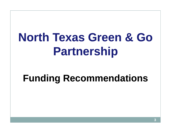# **North Texas Green & Go Partnership**

### **Funding Recommendations**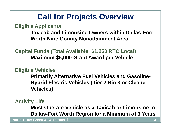### **Call for Projects Overview**

**Eli ibl A li t gible Applican s**

**Taxicab and Limousine Owners within Dallas-Fort Worth Nine-Count y Nonattainment Area**

**Capital Funds (Total Available: \$1.263 RTC Local) Maximum \$5 000 Grant Award per Vehicle \$5,000**

#### **Eligible Vehicles**

**Primarily Alternative Fuel Vehicles and Gasoline-Hybrid Electric Vehicles (Tier 2 Bin 3 or Cleaner Vehicles )**

#### **Activity Life**

**Must Operate Vehicle as <sup>a</sup> Taxicab or Limousine in Taxicab Dallas-Fort Worth Region for a Minimum of 3 Years**

**North Texas Green & Go Partnership**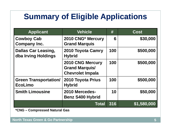### **Summary of Eligible Applications**

| <b>Applicant</b>                                  | <b>Vehicle</b>                                                              | #   | <b>Cost</b> |
|---------------------------------------------------|-----------------------------------------------------------------------------|-----|-------------|
| <b>Cowboy Cab</b><br><b>Company Inc.</b>          | 2010 CNG* Mercury<br><b>Grand Marquis</b>                                   | 6   | \$30,000    |
| <b>Dallas Car Leasing,</b><br>dba Irving Holdings | 2010 Toyota Camry<br><b>Hybrid</b>                                          | 100 | \$500,000   |
|                                                   | <b>2010 CNG Mercury</b><br><b>Grand Marquis/</b><br><b>Chevrolet Impala</b> | 100 | \$500,000   |
| <b>Green Transportation/</b><br><b>EcoLimo</b>    | 2010 Toyota Prius<br><b>Hybrid</b>                                          | 100 | \$500,000   |
| <b>Smith Limousine</b>                            | 2010 Mercedes-<br><b>Benz S400 Hybrid</b>                                   | 10  | \$50,000    |
|                                                   | <b>Total</b>                                                                | 316 | \$1,580,000 |

**\*CNG – Compressed Natural Gas**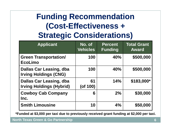### **Funding Recommendation (Cost -Effectiveness <sup>+</sup> Effectiveness Strategic Considerations)**

| <b>Applicant</b>                                                  | No. of<br><b>Vehicles</b> | <b>Percent</b><br><b>Funding</b> | <b>Total Grant</b><br><b>Award</b> |
|-------------------------------------------------------------------|---------------------------|----------------------------------|------------------------------------|
| <b>Green Transportation/</b><br><b>EcoLimo</b>                    | 100                       | 40%                              | \$500,000                          |
| <b>Dallas Car Leasing, dba</b><br><b>Irving Holdings (CNG)</b>    | 100                       | <b>40%</b>                       | \$500,000                          |
| <b>Dallas Car Leasing, dba</b><br><b>Irving Holdings (Hybrid)</b> | 61<br>$($ of 100 $)$      | 14%                              | \$183,000*                         |
| <b>Cowboy Cab Company</b><br>Inc.                                 | 6                         | 2%                               | \$30,000                           |
| <b>Smith Limousine</b>                                            | 10                        | 4%                               | \$50,000                           |

**\*Funded at \$3,000 per taxi due to previously received grant funding at \$2,000 per taxi.**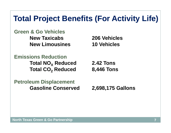### **Total Project Benefits (For Activity Life)**

**Green & Go VehiclesNew Taxicabs 206 VehiclesNew Limousines 10 Vehicles**

**Emissions ReductionTotal NO X Reduced 2.42 Tons Total CO 2**

**Reduced 8,446 Tons**

**Petroleum Displacement Gasoline Conserved 2,698,175 Gallons**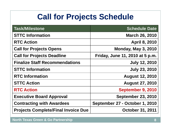### **Call for Projects Schedule**

| Task/Milestone                             | <b>Schedule Date</b>            |
|--------------------------------------------|---------------------------------|
| <b>STTC Information</b>                    | <b>March 26, 2010</b>           |
| <b>RTC Action</b>                          | <b>April 8, 2010</b>            |
| <b>Call for Projects Opens</b>             | <b>Monday, May 3, 2010</b>      |
| <b>Call for Projects Deadline</b>          | Friday, June 11, 2010 at 5 p.m. |
| <b>Finalize Staff Recommendations</b>      | <b>July 12, 2010</b>            |
| <b>STTC Information</b>                    | <b>July 23, 2010</b>            |
| <b>RTC Information</b>                     | <b>August 12, 2010</b>          |
| <b>STTC Action</b>                         | <b>August 27, 2010</b>          |
| <b>RTC Action</b>                          | September 9, 2010               |
| <b>Executive Board Approval</b>            | <b>September 23, 2010</b>       |
| <b>Contracting with Awardees</b>           | September 27 - October 1, 2010  |
| <b>Projects Complete/Final Invoice Due</b> | <b>October 31, 2011</b>         |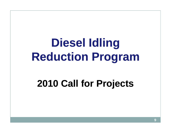# **Diesel Idling Reduction Program**

### **2010 Call for Projects**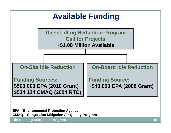

**EPA – Environmental Protection Agency CMAQ – Congestion Mitigation Air Quality Program**

**Diesel Idling Reduction Program**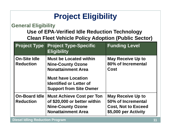### **Project Eligibility**

#### **General Eligibilit y**

**Use of EPA-Verified Idle Reduction Technology Clean Fleet Vehicle Policy Adoption (Public Sector)**

| <b>Project Type</b>                      | <b>Project Type-Specific</b><br><b>Eligibility</b>                                                                                                                                      | <b>Funding Level</b>                                                                                 |
|------------------------------------------|-----------------------------------------------------------------------------------------------------------------------------------------------------------------------------------------|------------------------------------------------------------------------------------------------------|
| <b>On-Site Idle</b><br><b>Reduction</b>  | <b>Must be Located within</b><br><b>Nine-County Ozone</b><br><b>Nonattainment Area</b><br><b>Must have Location</b><br><b>Identified or Letter of</b><br><b>Support from Site Owner</b> | <b>May Receive Up to</b><br>80% of Incremental<br>Cost                                               |
| <b>On-Board Idle</b><br><b>Reduction</b> | <b>Must Achieve Cost per Ton</b><br>of \$20,000 or better within<br><b>Nine-County Ozone</b><br><b>Nonattainment Area</b>                                                               | <b>May Receive Up to</b><br>50% of Incremental<br><b>Cost, Not to Exceed</b><br>\$5,000 per Activity |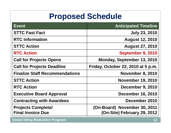### **Proposed Schedule**

| <b>Event</b>                                          | <b>Anticipated Timeline</b>                                 |
|-------------------------------------------------------|-------------------------------------------------------------|
| <b>STTC Fast Fact</b>                                 | <b>July 23, 2010</b>                                        |
| <b>RTC Information</b>                                | <b>August 12, 2010</b>                                      |
| <b>STTC Action</b>                                    | <b>August 27, 2010</b>                                      |
| <b>RTC Action</b>                                     | September 9, 2010                                           |
| <b>Call for Projects Opens</b>                        | Monday, September 13, 2010                                  |
| <b>Call for Projects Deadline</b>                     | Friday, October 22, 2010 at 5 p.m.                          |
| <b>Finalize Staff Recommendations</b>                 | <b>November 8, 2010</b>                                     |
| <b>STTC Action</b>                                    | <b>November 19, 2010</b>                                    |
| <b>RTC Action</b>                                     | <b>December 9, 2010</b>                                     |
| <b>Executive Board Approval</b>                       | <b>December 16, 2010</b>                                    |
| <b>Contracting with Awardees</b>                      | December 2010                                               |
| <b>Projects Complete/</b><br><b>Final Invoice Due</b> | (On-Board) November 30, 2011<br>(On-Site) February 29, 2012 |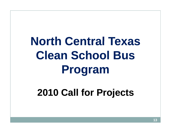### **North Central Texas Clean School Bus Bus Pro gram**

### **2010 Call for Projects**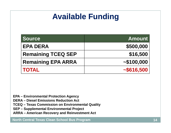### **Available Funding**

| <b>Source</b>             | <b>Amount</b> |
|---------------------------|---------------|
| <b>EPA DERA</b>           | \$500,000     |
| <b>Remaining TCEQ SEP</b> | \$16,500      |
| <b>Remaining EPA ARRA</b> | ~100,000      |
| <b>TOTAL</b>              | ~15616,500    |

**EPA – Environmental Protection Agency**

**DERA – Diesel Emissions Reduction Act**

**TCEQ – Texas Commission on Environmental Quality**

**SEP Supplemental Environmental Project –**

**ARRA – American Recovery and Reinvestment Act**

**North Central Texas Clean School Bus Program**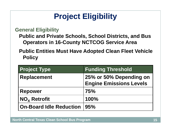### **Project Eligibility**

**General Eligibility**

**Public and Private Schools, School Districts, and Bus**  Operators in 16-County NCTCOG Service Area

**Public Entities Must Have Adopted Clean Fleet Vehicle Policy**

| <b>Project Type</b>            | <b>Funding Threshold</b>                                  |
|--------------------------------|-----------------------------------------------------------|
| <b>Replacement</b>             | 25% or 50% Depending on<br><b>Engine Emissions Levels</b> |
| <b>Repower</b>                 | 75%                                                       |
| NO <sub>x</sub> Retrofit       | 100%                                                      |
| <b>On-Board Idle Reduction</b> | 95%                                                       |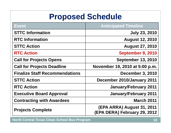### **Proposed Schedule**

| Event                                 | <b>Anticipated Timeline</b>                                |
|---------------------------------------|------------------------------------------------------------|
| <b>STTC Information</b>               | <b>July 23, 2010</b>                                       |
| <b>RTC Information</b>                | <b>August 12, 2010</b>                                     |
| <b>STTC Action</b>                    | <b>August 27, 2010</b>                                     |
| <b>RTC Action</b>                     | September 9, 2010                                          |
| <b>Call for Projects Opens</b>        | <b>September 13, 2010</b>                                  |
| <b>Call for Projects Deadline</b>     | November 19, 2010 at 5:00 p.m.                             |
| <b>Finalize Staff Recommendations</b> | <b>December 3, 2010</b>                                    |
| <b>STTC Action</b>                    | December 2010/January 2011                                 |
| <b>RTC Action</b>                     | <b>January/February 2011</b>                               |
| <b>Executive Board Approval</b>       | <b>January/February 2011</b>                               |
| <b>Contracting with Awardees</b>      | <b>March 2011</b>                                          |
| <b>Projects Complete</b>              | (EPA ARRA) August 31, 2011<br>(EPA DERA) February 29, 2012 |

**North Central Texas Clean School Bus Program**